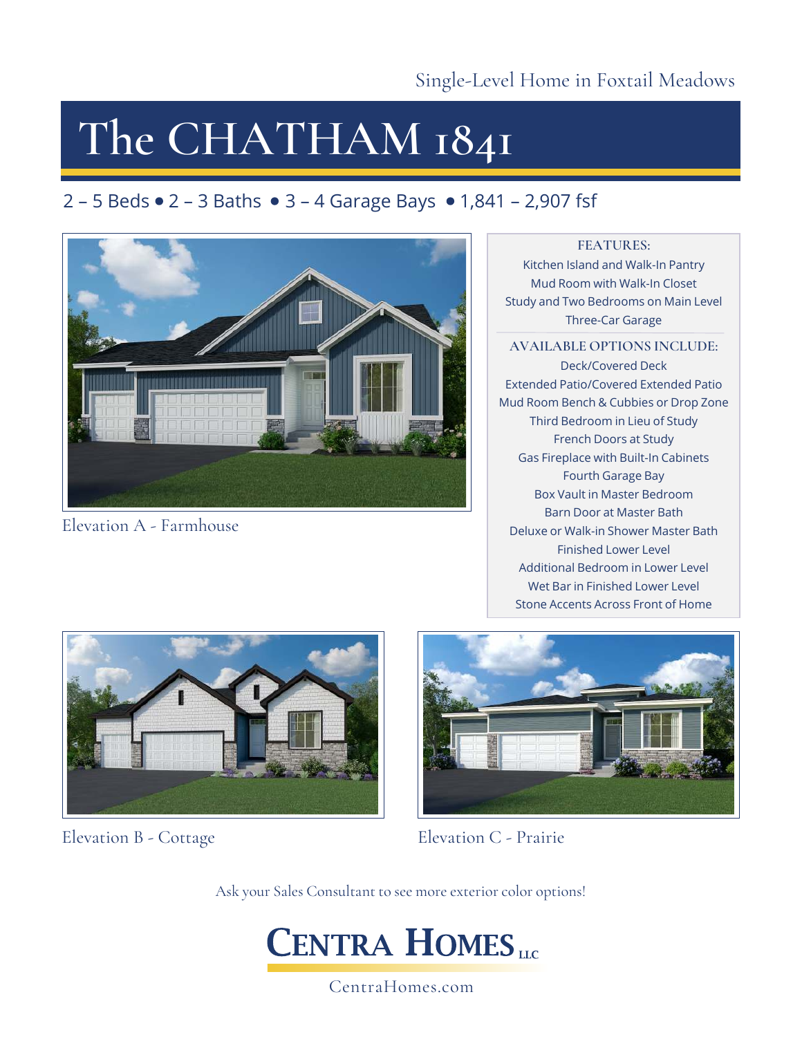# **The CHATHAM 1841**

### 2 – 5 Beds  $\bullet$  2 – 3 Baths  $\bullet$  3 – 4 Garage Bays  $\bullet$  1,841 – 2,907 fsf



Elevation A - Farmhouse

#### **FEATURES:**

Kitchen Island and Walk-In Pantry Mud Room with Walk-In Closet Study and Two Bedrooms on Main Level Three-Car Garage

#### **AVAILABLE OPTIONS INCLUDE:**

Deck/Covered Deck Extended Patio/Covered Extended Patio Mud Room Bench & Cubbies or Drop Zone Third Bedroom in Lieu of Study French Doors at Study Gas Fireplace with Built-In Cabinets Fourth Garage Bay Box Vault in Master Bedroom Barn Door at Master Bath Deluxe or Walk-in Shower Master Bath Finished Lower Level Additional Bedroom in Lower Level Wet Bar in Finished Lower Level Stone Accents Across Front of Home



Elevation B - Cottage



Elevation C - Prairie

Ask your Sales Consultant to see more exterior color options!



CentraHomes.com